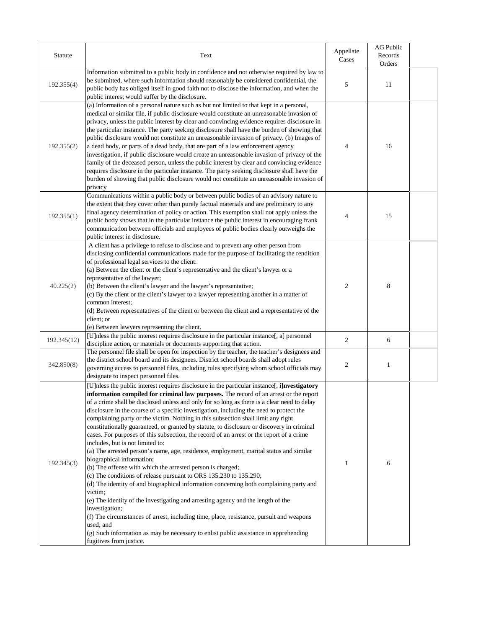| <b>Statute</b> | Text                                                                                                                                                                                                                                                                                                                                                                                                                                                                                                                                                                                                                                                                                                                                                                                                                                                                                                                                                                                                                                                  | Appellate<br>Cases | <b>AG Public</b><br>Records<br>Orders |  |
|----------------|-------------------------------------------------------------------------------------------------------------------------------------------------------------------------------------------------------------------------------------------------------------------------------------------------------------------------------------------------------------------------------------------------------------------------------------------------------------------------------------------------------------------------------------------------------------------------------------------------------------------------------------------------------------------------------------------------------------------------------------------------------------------------------------------------------------------------------------------------------------------------------------------------------------------------------------------------------------------------------------------------------------------------------------------------------|--------------------|---------------------------------------|--|
| 192.355(4)     | Information submitted to a public body in confidence and not otherwise required by law to<br>be submitted, where such information should reasonably be considered confidential, the<br>public body has obliged itself in good faith not to disclose the information, and when the<br>public interest would suffer by the disclosure.                                                                                                                                                                                                                                                                                                                                                                                                                                                                                                                                                                                                                                                                                                                  | 5                  | 11                                    |  |
| 192.355(2)     | (a) Information of a personal nature such as but not limited to that kept in a personal,<br>medical or similar file, if public disclosure would constitute an unreasonable invasion of<br>privacy, unless the public interest by clear and convincing evidence requires disclosure in<br>the particular instance. The party seeking disclosure shall have the burden of showing that<br>public disclosure would not constitute an unreasonable invasion of privacy. (b) Images of<br>a dead body, or parts of a dead body, that are part of a law enforcement agency<br>investigation, if public disclosure would create an unreasonable invasion of privacy of the<br>family of the deceased person, unless the public interest by clear and convincing evidence<br>requires disclosure in the particular instance. The party seeking disclosure shall have the<br>burden of showing that public disclosure would not constitute an unreasonable invasion of<br>privacy                                                                              | 4                  | 16                                    |  |
| 192.355(1)     | Communications within a public body or between public bodies of an advisory nature to<br>the extent that they cover other than purely factual materials and are preliminary to any<br>final agency determination of policy or action. This exemption shall not apply unless the<br>public body shows that in the particular instance the public interest in encouraging frank<br>communication between officials and employees of public bodies clearly outweighs the<br>public interest in disclosure.                                                                                                                                                                                                                                                                                                                                                                                                                                                                                                                                               | 4                  | 15                                    |  |
| 40.225(2)      | A client has a privilege to refuse to disclose and to prevent any other person from<br>disclosing confidential communications made for the purpose of facilitating the rendition<br>of professional legal services to the client:<br>(a) Between the client or the client's representative and the client's lawyer or a<br>representative of the lawyer;<br>(b) Between the client's lawyer and the lawyer's representative;<br>(c) By the client or the client's lawyer to a lawyer representing another in a matter of<br>common interest;<br>(d) Between representatives of the client or between the client and a representative of the<br>client; or<br>(e) Between lawyers representing the client.                                                                                                                                                                                                                                                                                                                                             | $\overline{2}$     | 8                                     |  |
| 192.345(12)    | [U]nless the public interest requires disclosure in the particular instance[, a] personnel<br>discipline action, or materials or documents supporting that action.                                                                                                                                                                                                                                                                                                                                                                                                                                                                                                                                                                                                                                                                                                                                                                                                                                                                                    | $\overline{2}$     | 6                                     |  |
| 342.850(8)     | The personnel file shall be open for inspection by the teacher, the teacher's designees and<br>the district school board and its designees. District school boards shall adopt rules<br>governing access to personnel files, including rules specifying whom school officials may<br>designate to inspect personnel files.                                                                                                                                                                                                                                                                                                                                                                                                                                                                                                                                                                                                                                                                                                                            | $\overline{2}$     |                                       |  |
| 192.345(3)     | [U]nless the public interest requires disclosure in the particular instance, i]nvestigatory<br>information compiled for criminal law purposes. The record of an arrest or the report<br>of a crime shall be disclosed unless and only for so long as there is a clear need to delay<br>disclosure in the course of a specific investigation, including the need to protect the<br>complaining party or the victim. Nothing in this subsection shall limit any right<br>constitutionally guaranteed, or granted by statute, to disclosure or discovery in criminal<br>cases. For purposes of this subsection, the record of an arrest or the report of a crime<br>includes, but is not limited to:<br>(a) The arrested person's name, age, residence, employment, marital status and similar<br>biographical information;<br>(b) The offense with which the arrested person is charged;<br>(c) The conditions of release pursuant to ORS 135.230 to 135.290;<br>(d) The identity of and biographical information concerning both complaining party and |                    | 6                                     |  |

victim; (e) The identity of the investigating and arresting agency and the length of the investigation; (f) The circumstances of arrest, including time, place, resistance, pursuit and weapons used; and  $(g)$  Such information as may be necessary to enlist public assistance in apprehending fugitives from justice.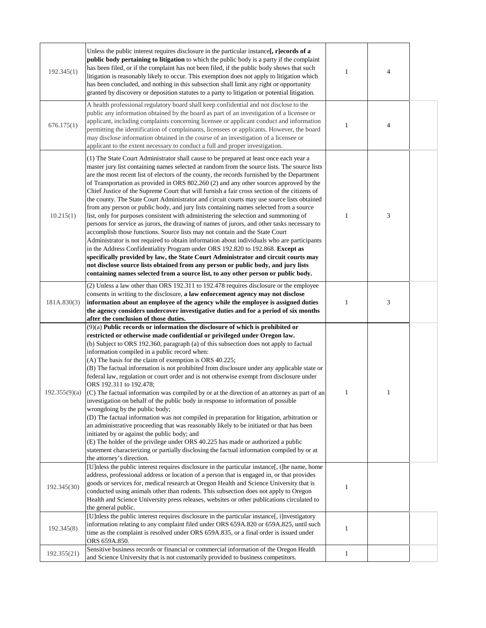| 192.345(1)    | Unless the public interest requires disclosure in the particular instance[, r]ecords of a<br><b>public body pertaining to litigation</b> to which the public body is a party if the complaint<br>has been filed, or if the complaint has not been filed, if the public body shows that such<br>litigation is reasonably likely to occur. This exemption does not apply to litigation which<br>has been concluded, and nothing in this subsection shall limit any right or opportunity<br>granted by discovery or deposition statutes to a party to litigation or potential litigation.                                                                                                                                                                                                                                                                                                                                                                                                                                                                                                                                                                                                                                                                                                                                                                                                         |   | $\overline{4}$ |  |
|---------------|------------------------------------------------------------------------------------------------------------------------------------------------------------------------------------------------------------------------------------------------------------------------------------------------------------------------------------------------------------------------------------------------------------------------------------------------------------------------------------------------------------------------------------------------------------------------------------------------------------------------------------------------------------------------------------------------------------------------------------------------------------------------------------------------------------------------------------------------------------------------------------------------------------------------------------------------------------------------------------------------------------------------------------------------------------------------------------------------------------------------------------------------------------------------------------------------------------------------------------------------------------------------------------------------------------------------------------------------------------------------------------------------|---|----------------|--|
| 676.175(1)    | A health professional regulatory board shall keep confidential and not disclose to the<br>public any information obtained by the board as part of an investigation of a licensee or<br>applicant, including complaints concerning licensee or applicant conduct and information<br>permitting the identification of complainants, licensees or applicants. However, the board<br>may disclose information obtained in the course of an investigation of a licensee or<br>applicant to the extent necessary to conduct a full and proper investigation.                                                                                                                                                                                                                                                                                                                                                                                                                                                                                                                                                                                                                                                                                                                                                                                                                                         |   | $\overline{4}$ |  |
| 10.215(1)     | (1) The State Court Administrator shall cause to be prepared at least once each year a<br>master jury list containing names selected at random from the source lists. The source lists<br>are the most recent list of electors of the county, the records furnished by the Department<br>of Transportation as provided in ORS 802.260 (2) and any other sources approved by the<br>Chief Justice of the Supreme Court that will furnish a fair cross section of the citizens of<br>the county. The State Court Administrator and circuit courts may use source lists obtained<br>from any person or public body, and jury lists containing names selected from a source<br>list, only for purposes consistent with administering the selection and summoning of<br>persons for service as jurors, the drawing of names of jurors, and other tasks necessary to<br>accomplish those functions. Source lists may not contain and the State Court<br>Administrator is not required to obtain information about individuals who are participants<br>in the Address Confidentiality Program under ORS 192.820 to 192.868. Except as<br>specifically provided by law, the State Court Administrator and circuit courts may<br>not disclose source lists obtained from any person or public body, and jury lists<br>containing names selected from a source list, to any other person or public body. |   | 3              |  |
| 181A.830(3)   | $(2)$ Unless a law other than ORS 192.311 to 192.478 requires disclosure or the employee<br>consents in writing to the disclosure, a law enforcement agency may not disclose<br>information about an employee of the agency while the employee is assigned duties<br>the agency considers undercover investigative duties and for a period of six months<br>after the conclusion of those duties.                                                                                                                                                                                                                                                                                                                                                                                                                                                                                                                                                                                                                                                                                                                                                                                                                                                                                                                                                                                              |   | 3              |  |
| 192.355(9)(a) | (9)(a) Public records or information the disclosure of which is prohibited or<br>restricted or otherwise made confidential or privileged under Oregon law.<br>(b) Subject to ORS 192.360, paragraph (a) of this subsection does not apply to factual<br>information compiled in a public record when:<br>(A) The basis for the claim of exemption is ORS 40.225;<br>(B) The factual information is not prohibited from disclosure under any applicable state or<br>federal law, regulation or court order and is not otherwise exempt from disclosure under<br>ORS 192.311 to 192.478;<br>$(C)$ The factual information was compiled by or at the direction of an attorney as part of an<br>investigation on behalf of the public body in response to information of possible<br>wrongdoing by the public body;<br>(D) The factual information was not compiled in preparation for litigation, arbitration or<br>an administrative proceeding that was reasonably likely to be initiated or that has been<br>initiated by or against the public body; and<br>(E) The holder of the privilege under ORS 40.225 has made or authorized a public<br>statement characterizing or partially disclosing the factual information compiled by or at<br>the attorney's direction.                                                                                                                       | 1 |                |  |
| 192.345(30)   | [U]nless the public interest requires disclosure in the particular instance[, t]he name, home<br>address, professional address or location of a person that is engaged in, or that provides<br>goods or services for, medical research at Oregon Health and Science University that is<br>conducted using animals other than rodents. This subsection does not apply to Oregon<br>Health and Science University press releases, websites or other publications circulated to<br>the general public.                                                                                                                                                                                                                                                                                                                                                                                                                                                                                                                                                                                                                                                                                                                                                                                                                                                                                            |   |                |  |
| 192.345(8)    | [U]nless the public interest requires disclosure in the particular instance[, i]nvestigatory<br>information relating to any complaint filed under ORS 659A.820 or 659A.825, until such<br>time as the complaint is resolved under ORS 659A.835, or a final order is issued under<br>ORS 659A.850.                                                                                                                                                                                                                                                                                                                                                                                                                                                                                                                                                                                                                                                                                                                                                                                                                                                                                                                                                                                                                                                                                              |   |                |  |
| 192.355(21)   | Sensitive business records or financial or commercial information of the Oregon Health<br>and Science University that is not customarily provided to business competitors.                                                                                                                                                                                                                                                                                                                                                                                                                                                                                                                                                                                                                                                                                                                                                                                                                                                                                                                                                                                                                                                                                                                                                                                                                     |   |                |  |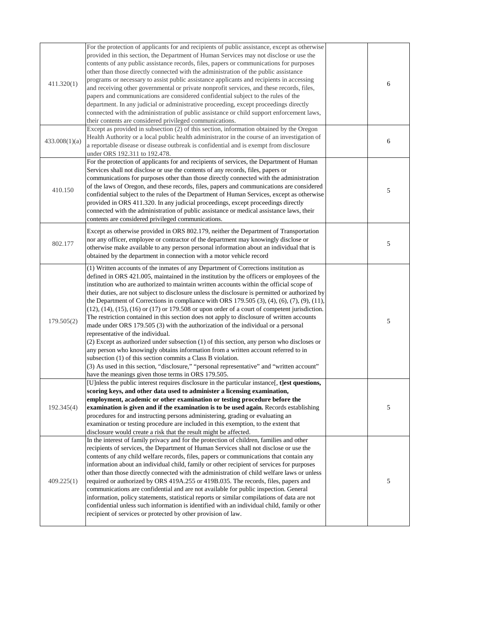| 411.320(1)    | For the protection of applicants for and recipients of public assistance, except as otherwise<br>provided in this section, the Department of Human Services may not disclose or use the<br>contents of any public assistance records, files, papers or communications for purposes<br>other than those directly connected with the administration of the public assistance<br>programs or necessary to assist public assistance applicants and recipients in accessing<br>and receiving other governmental or private nonprofit services, and these records, files,<br>papers and communications are considered confidential subject to the rules of the<br>department. In any judicial or administrative proceeding, except proceedings directly<br>connected with the administration of public assistance or child support enforcement laws,<br>their contents are considered privileged communications.                                                                                                                                                                                                                                                                                                                                     | 6 |
|---------------|------------------------------------------------------------------------------------------------------------------------------------------------------------------------------------------------------------------------------------------------------------------------------------------------------------------------------------------------------------------------------------------------------------------------------------------------------------------------------------------------------------------------------------------------------------------------------------------------------------------------------------------------------------------------------------------------------------------------------------------------------------------------------------------------------------------------------------------------------------------------------------------------------------------------------------------------------------------------------------------------------------------------------------------------------------------------------------------------------------------------------------------------------------------------------------------------------------------------------------------------|---|
| 433.008(1)(a) | Except as provided in subsection (2) of this section, information obtained by the Oregon<br>Health Authority or a local public health administrator in the course of an investigation of<br>a reportable disease or disease outbreak is confidential and is exempt from disclosure<br>under ORS 192.311 to 192.478.                                                                                                                                                                                                                                                                                                                                                                                                                                                                                                                                                                                                                                                                                                                                                                                                                                                                                                                            | 6 |
| 410.150       | For the protection of applicants for and recipients of services, the Department of Human<br>Services shall not disclose or use the contents of any records, files, papers or<br>communications for purposes other than those directly connected with the administration<br>of the laws of Oregon, and these records, files, papers and communications are considered<br>confidential subject to the rules of the Department of Human Services, except as otherwise<br>provided in ORS 411.320. In any judicial proceedings, except proceedings directly<br>connected with the administration of public assistance or medical assistance laws, their<br>contents are considered privileged communications.                                                                                                                                                                                                                                                                                                                                                                                                                                                                                                                                      | 5 |
| 802.177       | Except as otherwise provided in ORS 802.179, neither the Department of Transportation<br>nor any officer, employee or contractor of the department may knowingly disclose or<br>otherwise make available to any person personal information about an individual that is<br>obtained by the department in connection with a motor vehicle record                                                                                                                                                                                                                                                                                                                                                                                                                                                                                                                                                                                                                                                                                                                                                                                                                                                                                                | 5 |
| 179.505(2)    | (1) Written accounts of the inmates of any Department of Corrections institution as<br>defined in ORS 421.005, maintained in the institution by the officers or employees of the<br>institution who are authorized to maintain written accounts within the official scope of<br>their duties, are not subject to disclosure unless the disclosure is permitted or authorized by<br>the Department of Corrections in compliance with ORS 179.505 $(3)$ , $(4)$ , $(6)$ , $(7)$ , $(9)$ , $(11)$ ,<br>$(12)$ , $(14)$ , $(15)$ , $(16)$ or $(17)$ or 179.508 or upon order of a court of competent jurisdiction.<br>The restriction contained in this section does not apply to disclosure of written accounts<br>made under ORS 179.505 (3) with the authorization of the individual or a personal<br>representative of the individual.<br>(2) Except as authorized under subsection (1) of this section, any person who discloses or<br>any person who knowingly obtains information from a written account referred to in<br>subsection (1) of this section commits a Class B violation.<br>(3) As used in this section, "disclosure," "personal representative" and "written account"<br>have the meanings given those terms in ORS 179.505. | 5 |
| 192.345(4)    | [U]nless the public interest requires disclosure in the particular instance[, t]est questions,<br>scoring keys, and other data used to administer a licensing examination,<br>employment, academic or other examination or testing procedure before the<br>examination is given and if the examination is to be used again. Records establishing<br>procedures for and instructing persons administering, grading or evaluating an<br>examination or testing procedure are included in this exemption, to the extent that<br>disclosure would create a risk that the result might be affected.                                                                                                                                                                                                                                                                                                                                                                                                                                                                                                                                                                                                                                                 | 5 |
| 409.225(1)    | In the interest of family privacy and for the protection of children, families and other<br>recipients of services, the Department of Human Services shall not disclose or use the<br>contents of any child welfare records, files, papers or communications that contain any<br>information about an individual child, family or other recipient of services for purposes<br>other than those directly connected with the administration of child welfare laws or unless<br>required or authorized by ORS 419A.255 or 419B.035. The records, files, papers and<br>communications are confidential and are not available for public inspection. General                                                                                                                                                                                                                                                                                                                                                                                                                                                                                                                                                                                        | 5 |

information, policy statements, statistical reports or similar compilations of data are not confidential unless such information is identified with an individual child, family or other recipient of services or protected by other provision of law.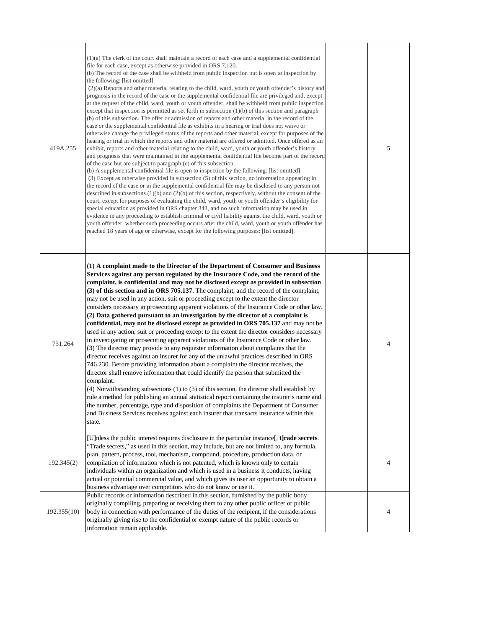| 419A.255   | (1)(a) The clerk of the court shall maintain a record of each case and a supplemental confidential<br>file for each case, except as otherwise provided in ORS 7.120.<br>(b) The record of the case shall be withheld from public inspection but is open to inspection by<br>the following: [list omitted]<br>(2)(a) Reports and other material relating to the child, ward, youth or youth offender's history and<br>prognosis in the record of the case or the supplemental confidential file are privileged and, except<br>at the request of the child, ward, youth or youth offender, shall be withheld from public inspection<br>except that inspection is permitted as set forth in subsection $(1)(b)$ of this section and paragraph<br>(b) of this subsection. The offer or admission of reports and other material in the record of the<br>case or the supplemental confidential file as exhibits in a hearing or trial does not waive or<br>otherwise change the privileged status of the reports and other material, except for purposes of the<br>hearing or trial in which the reports and other material are offered or admitted. Once offered as an<br>exhibit, reports and other material relating to the child, ward, youth or youth offender's history<br>and prognosis that were maintained in the supplemental confidential file become part of the record<br>of the case but are subject to paragraph (e) of this subsection.<br>(b) A supplemental confidential file is open to inspection by the following: [list omitted]<br>(3) Except as otherwise provided in subsection (5) of this section, no information appearing in<br>the record of the case or in the supplemental confidential file may be disclosed to any person not<br>described in subsections $(1)(b)$ and $(2)(b)$ of this section, respectively, without the consent of the<br>court, except for purposes of evaluating the child, ward, youth or youth offender's eligibility for<br>special education as provided in ORS chapter 343, and no such information may be used in<br>evidence in any proceeding to establish criminal or civil liability against the child, ward, youth or<br>youth offender, whether such proceeding occurs after the child, ward, youth or youth offender has<br>reached 18 years of age or otherwise, except for the following purposes: [list omitted]. | 5 |
|------------|------------------------------------------------------------------------------------------------------------------------------------------------------------------------------------------------------------------------------------------------------------------------------------------------------------------------------------------------------------------------------------------------------------------------------------------------------------------------------------------------------------------------------------------------------------------------------------------------------------------------------------------------------------------------------------------------------------------------------------------------------------------------------------------------------------------------------------------------------------------------------------------------------------------------------------------------------------------------------------------------------------------------------------------------------------------------------------------------------------------------------------------------------------------------------------------------------------------------------------------------------------------------------------------------------------------------------------------------------------------------------------------------------------------------------------------------------------------------------------------------------------------------------------------------------------------------------------------------------------------------------------------------------------------------------------------------------------------------------------------------------------------------------------------------------------------------------------------------------------------------------------------------------------------------------------------------------------------------------------------------------------------------------------------------------------------------------------------------------------------------------------------------------------------------------------------------------------------------------------------------------------------------------------------------------------------------------------------------------------------------------------|---|
| 731.264    | (1) A complaint made to the Director of the Department of Consumer and Business<br>Services against any person regulated by the Insurance Code, and the record of the<br>complaint, is confidential and may not be disclosed except as provided in subsection<br>(3) of this section and in ORS 705.137. The complaint, and the record of the complaint,<br>may not be used in any action, suit or proceeding except to the extent the director<br>considers necessary in prosecuting apparent violations of the Insurance Code or other law.<br>(2) Data gathered pursuant to an investigation by the director of a complaint is<br>confidential, may not be disclosed except as provided in ORS 705.137 and may not be<br>used in any action, suit or proceeding except to the extent the director considers necessary<br>in investigating or prosecuting apparent violations of the Insurance Code or other law.<br>(3) The director may provide to any requester information about complaints that the<br>director receives against an insurer for any of the unlawful practices described in ORS<br>746.230. Before providing information about a complaint the director receives, the<br>director shall remove information that could identify the person that submitted the<br>complaint.<br>$(4)$ Notwithstanding subsections $(1)$ to $(3)$ of this section, the director shall establish by<br>rule a method for publishing an annual statistical report containing the insurer's name and<br>the number, percentage, type and disposition of complaints the Department of Consumer<br>and Business Services receives against each insurer that transacts insurance within this<br>state.                                                                                                                                                                                                                                                                                                                                                                                                                                                                                                                                                                                                                                                                                | 4 |
| 192.345(2) | [U] nless the public interest requires disclosure in the particular instance [, t] rade secrets.<br>"Trade secrets," as used in this section, may include, but are not limited to, any formula,<br>plan, pattern, process, tool, mechanism, compound, procedure, production data, or<br>compilation of information which is not patented, which is known only to certain<br>individuals within an organization and which is used in a business it conducts, having<br>actual or potential commercial value, and which gives its user an opportunity to obtain a<br>business advantage over competitors who do not know or use it.                                                                                                                                                                                                                                                                                                                                                                                                                                                                                                                                                                                                                                                                                                                                                                                                                                                                                                                                                                                                                                                                                                                                                                                                                                                                                                                                                                                                                                                                                                                                                                                                                                                                                                                                                  | 4 |

|             | Public records or information described in this section, furnished by the public body     |  |
|-------------|-------------------------------------------------------------------------------------------|--|
|             | originally compiling, preparing or receiving them to any other public officer or public   |  |
| 192.355(10) | body in connection with performance of the duties of the recipient, if the considerations |  |
|             | originally giving rise to the confidential or exempt nature of the public records or      |  |
|             | information remain applicable.                                                            |  |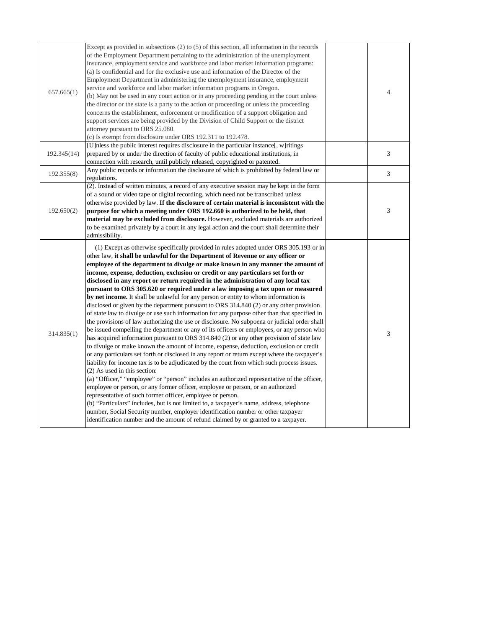| 657.665(1)<br>192.345(14)<br>192.355(8) | (a) Is confidential and for the exclusive use and information of the Director of the<br>Employment Department in administering the unemployment insurance, employment<br>service and workforce and labor market information programs in Oregon.<br>(b) May not be used in any court action or in any proceeding pending in the court unless<br>the director or the state is a party to the action or proceeding or unless the proceeding<br>concerns the establishment, enforcement or modification of a support obligation and<br>support services are being provided by the Division of Child Support or the district<br>attorney pursuant to ORS 25.080.<br>(c) Is exempt from disclosure under ORS 192.311 to 192.478.<br>[U]nless the public interest requires disclosure in the particular instance[, w]ritings<br>prepared by or under the direction of faculty of public educational institutions, in<br>connection with research, until publicly released, copyrighted or patented.<br>Any public records or information the disclosure of which is prohibited by federal law or<br>regulations.                                                                                                                                                                                                                                                                                                                                                                                                                                                                                                                                                                                                                                                                                                                                                                                                                                             | 4<br>3<br>3 |
|-----------------------------------------|-------------------------------------------------------------------------------------------------------------------------------------------------------------------------------------------------------------------------------------------------------------------------------------------------------------------------------------------------------------------------------------------------------------------------------------------------------------------------------------------------------------------------------------------------------------------------------------------------------------------------------------------------------------------------------------------------------------------------------------------------------------------------------------------------------------------------------------------------------------------------------------------------------------------------------------------------------------------------------------------------------------------------------------------------------------------------------------------------------------------------------------------------------------------------------------------------------------------------------------------------------------------------------------------------------------------------------------------------------------------------------------------------------------------------------------------------------------------------------------------------------------------------------------------------------------------------------------------------------------------------------------------------------------------------------------------------------------------------------------------------------------------------------------------------------------------------------------------------------------------------------------------------------------------------------------------------------|-------------|
| 192.650(2)                              | (2). Instead of written minutes, a record of any executive session may be kept in the form<br>of a sound or video tape or digital recording, which need not be transcribed unless<br>otherwise provided by law. If the disclosure of certain material is inconsistent with the<br>purpose for which a meeting under ORS 192.660 is authorized to be held, that<br>material may be excluded from disclosure. However, excluded materials are authorized<br>to be examined privately by a court in any legal action and the court shall determine their<br>admissibility.                                                                                                                                                                                                                                                                                                                                                                                                                                                                                                                                                                                                                                                                                                                                                                                                                                                                                                                                                                                                                                                                                                                                                                                                                                                                                                                                                                               | 3           |
| 314.835(1)                              | (1) Except as otherwise specifically provided in rules adopted under ORS 305.193 or in<br>other law, it shall be unlawful for the Department of Revenue or any officer or<br>employee of the department to divulge or make known in any manner the amount of<br>income, expense, deduction, exclusion or credit or any particulars set forth or<br>disclosed in any report or return required in the administration of any local tax<br>pursuant to ORS 305.620 or required under a law imposing a tax upon or measured<br>by net income. It shall be unlawful for any person or entity to whom information is<br>disclosed or given by the department pursuant to ORS 314.840 (2) or any other provision<br>of state law to divulge or use such information for any purpose other than that specified in<br>the provisions of law authorizing the use or disclosure. No subpoena or judicial order shall<br>be issued compelling the department or any of its officers or employees, or any person who<br>has acquired information pursuant to ORS 314.840 (2) or any other provision of state law<br>to divulge or make known the amount of income, expense, deduction, exclusion or credit<br>or any particulars set forth or disclosed in any report or return except where the taxpayer's<br>liability for income tax is to be adjudicated by the court from which such process issues.<br>$(2)$ As used in this section:<br>(a) "Officer," "employee" or "person" includes an authorized representative of the officer,<br>employee or person, or any former officer, employee or person, or an authorized<br>representative of such former officer, employee or person.<br>(b) "Particulars" includes, but is not limited to, a taxpayer's name, address, telephone<br>number, Social Security number, employer identification number or other taxpayer<br>identification number and the amount of refund claimed by or granted to a taxpayer. | 3           |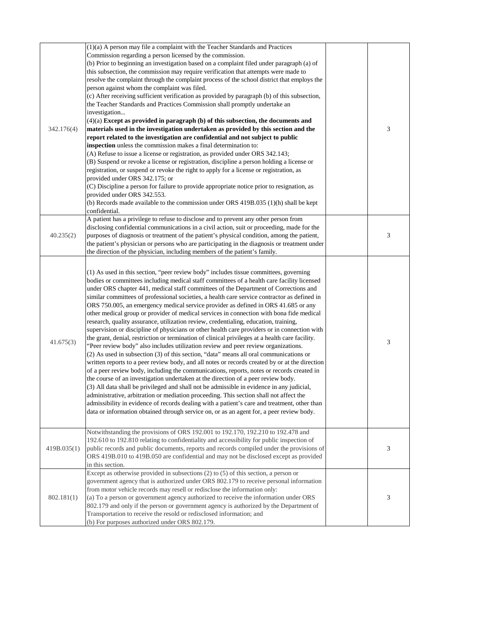| 342.176(4)  | $(1)(a)$ A person may file a complaint with the Teacher Standards and Practices<br>Commission regarding a person licensed by the commission.<br>(b) Prior to beginning an investigation based on a complaint filed under paragraph (a) of<br>this subsection, the commission may require verification that attempts were made to<br>resolve the complaint through the complaint process of the school district that employs the<br>person against whom the complaint was filed.<br>(c) After receiving sufficient verification as provided by paragraph (b) of this subsection,<br>the Teacher Standards and Practices Commission shall promptly undertake an<br>investigation<br>$(4)(a)$ Except as provided in paragraph $(b)$ of this subsection, the documents and<br>materials used in the investigation undertaken as provided by this section and the<br>report related to the investigation are confidential and not subject to public<br>inspection unless the commission makes a final determination to:<br>(A) Refuse to issue a license or registration, as provided under ORS 342.143;<br>(B) Suspend or revoke a license or registration, discipline a person holding a license or<br>registration, or suspend or revoke the right to apply for a license or registration, as<br>provided under ORS 342.175; or<br>(C) Discipline a person for failure to provide appropriate notice prior to resignation, as<br>provided under ORS 342.553.<br>(b) Records made available to the commission under ORS 419B.035 (1)(h) shall be kept<br>confidential.                                                                                                                                             | 3 |
|-------------|-----------------------------------------------------------------------------------------------------------------------------------------------------------------------------------------------------------------------------------------------------------------------------------------------------------------------------------------------------------------------------------------------------------------------------------------------------------------------------------------------------------------------------------------------------------------------------------------------------------------------------------------------------------------------------------------------------------------------------------------------------------------------------------------------------------------------------------------------------------------------------------------------------------------------------------------------------------------------------------------------------------------------------------------------------------------------------------------------------------------------------------------------------------------------------------------------------------------------------------------------------------------------------------------------------------------------------------------------------------------------------------------------------------------------------------------------------------------------------------------------------------------------------------------------------------------------------------------------------------------------------------------------------------------------------------------------------------------|---|
| 40.235(2)   | A patient has a privilege to refuse to disclose and to prevent any other person from<br>disclosing confidential communications in a civil action, suit or proceeding, made for the<br>purposes of diagnosis or treatment of the patient's physical condition, among the patient,<br>the patient's physician or persons who are participating in the diagnosis or treatment under<br>the direction of the physician, including members of the patient's family.                                                                                                                                                                                                                                                                                                                                                                                                                                                                                                                                                                                                                                                                                                                                                                                                                                                                                                                                                                                                                                                                                                                                                                                                                                                  | 3 |
| 41.675(3)   | (1) As used in this section, "peer review body" includes tissue committees, governing<br>bodies or committees including medical staff committees of a health care facility licensed<br>under ORS chapter 441, medical staff committees of the Department of Corrections and<br>similar committees of professional societies, a health care service contractor as defined in<br>ORS 750.005, an emergency medical service provider as defined in ORS 41.685 or any<br>other medical group or provider of medical services in connection with bona fide medical<br>research, quality assurance, utilization review, credentialing, education, training,<br>supervision or discipline of physicians or other health care providers or in connection with<br>the grant, denial, restriction or termination of clinical privileges at a health care facility.<br>"Peer review body" also includes utilization review and peer review organizations.<br>(2) As used in subsection (3) of this section, "data" means all oral communications or<br>written reports to a peer review body, and all notes or records created by or at the direction<br>of a peer review body, including the communications, reports, notes or records created in<br>the course of an investigation undertaken at the direction of a peer review body.<br>(3) All data shall be privileged and shall not be admissible in evidence in any judicial,<br>administrative, arbitration or mediation proceeding. This section shall not affect the<br>admissibility in evidence of records dealing with a patient's care and treatment, other than<br>data or information obtained through service on, or as an agent for, a peer review body. | 3 |
| 419B.035(1) | Notwithstanding the provisions of ORS 192.001 to 192.170, 192.210 to 192.478 and<br>192.610 to 192.810 relating to confidentiality and accessibility for public inspection of<br>public records and public documents, reports and records compiled under the provisions of<br>ORS 419B.010 to 419B.050 are confidential and may not be disclosed except as provided<br>in this section.                                                                                                                                                                                                                                                                                                                                                                                                                                                                                                                                                                                                                                                                                                                                                                                                                                                                                                                                                                                                                                                                                                                                                                                                                                                                                                                         | 3 |
|             | Except as otherwise provided in subsections $(2)$ to $(5)$ of this section, a person or<br>government agency that is authorized under ORS 802.179 to receive personal information<br>from motor vehicle records may resell or redisclose the information only:                                                                                                                                                                                                                                                                                                                                                                                                                                                                                                                                                                                                                                                                                                                                                                                                                                                                                                                                                                                                                                                                                                                                                                                                                                                                                                                                                                                                                                                  |   |

| $802.181(1)$ (a) To a person or government agency authorized to receive the information under ORS |  |
|---------------------------------------------------------------------------------------------------|--|
| 802.179 and only if the person or government agency is authorized by the Department of            |  |
| Transportation to receive the resold or redisclosed information; and                              |  |
| (b) For purposes authorized under ORS $802.179$ .                                                 |  |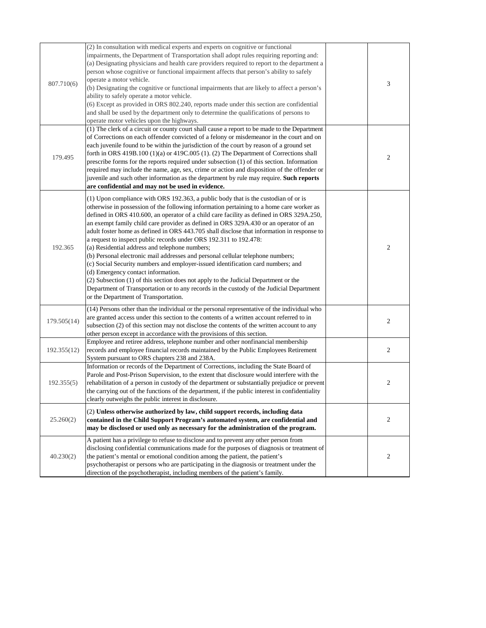| 807.710(6)  | (2) In consultation with medical experts and experts on cognitive or functional<br>impairments, the Department of Transportation shall adopt rules requiring reporting and:<br>(a) Designating physicians and health care providers required to report to the department a<br>person whose cognitive or functional impairment affects that person's ability to safely<br>operate a motor vehicle.<br>(b) Designating the cognitive or functional impairments that are likely to affect a person's<br>ability to safely operate a motor vehicle.<br>(6) Except as provided in ORS 802.240, reports made under this section are confidential<br>and shall be used by the department only to determine the qualifications of persons to<br>operate motor vehicles upon the highways.                                                                                                                                                                                                                                               | $\mathfrak{Z}$ |
|-------------|---------------------------------------------------------------------------------------------------------------------------------------------------------------------------------------------------------------------------------------------------------------------------------------------------------------------------------------------------------------------------------------------------------------------------------------------------------------------------------------------------------------------------------------------------------------------------------------------------------------------------------------------------------------------------------------------------------------------------------------------------------------------------------------------------------------------------------------------------------------------------------------------------------------------------------------------------------------------------------------------------------------------------------|----------------|
| 179.495     | (1) The clerk of a circuit or county court shall cause a report to be made to the Department<br>of Corrections on each offender convicted of a felony or misdemeanor in the court and on<br>each juvenile found to be within the jurisdiction of the court by reason of a ground set<br>forth in ORS 419B.100 $(1)(a)$ or 419C.005 $(1)$ . $(2)$ The Department of Corrections shall<br>prescribe forms for the reports required under subsection $(1)$ of this section. Information<br>required may include the name, age, sex, crime or action and disposition of the offender or<br>juvenile and such other information as the department by rule may require. Such reports<br>are confidential and may not be used in evidence.                                                                                                                                                                                                                                                                                             | $\overline{2}$ |
| 192.365     | (1) Upon compliance with ORS 192.363, a public body that is the custodian of or is<br>otherwise in possession of the following information pertaining to a home care worker as<br>defined in ORS 410.600, an operator of a child care facility as defined in ORS 329A.250,<br>an exempt family child care provider as defined in ORS 329A.430 or an operator of an<br>adult foster home as defined in ORS 443.705 shall disclose that information in response to<br>a request to inspect public records under ORS 192.311 to 192.478:<br>(a) Residential address and telephone numbers;<br>(b) Personal electronic mail addresses and personal cellular telephone numbers;<br>(c) Social Security numbers and employer-issued identification card numbers; and<br>(d) Emergency contact information.<br>(2) Subsection (1) of this section does not apply to the Judicial Department or the<br>Department of Transportation or to any records in the custody of the Judicial Department<br>or the Department of Transportation. | $\overline{2}$ |
| 179.505(14) | (14) Persons other than the individual or the personal representative of the individual who<br>are granted access under this section to the contents of a written account referred to in<br>subsection (2) of this section may not disclose the contents of the written account to any<br>other person except in accordance with the provisions of this section.                                                                                                                                                                                                                                                                                                                                                                                                                                                                                                                                                                                                                                                                | $\overline{2}$ |
| 192.355(12) | Employee and retiree address, telephone number and other nonfinancial membership<br>records and employee financial records maintained by the Public Employees Retirement<br>System pursuant to ORS chapters 238 and 238A.                                                                                                                                                                                                                                                                                                                                                                                                                                                                                                                                                                                                                                                                                                                                                                                                       | $\overline{2}$ |
| 192.355(5)  | Information or records of the Department of Corrections, including the State Board of<br>Parole and Post-Prison Supervision, to the extent that disclosure would interfere with the<br>rehabilitation of a person in custody of the department or substantially prejudice or prevent<br>the carrying out of the functions of the department, if the public interest in confidentiality<br>clearly outweighs the public interest in disclosure.                                                                                                                                                                                                                                                                                                                                                                                                                                                                                                                                                                                  | $\overline{2}$ |
| 25.260(2)   | (2) Unless otherwise authorized by law, child support records, including data<br>contained in the Child Support Program's automated system, are confidential and<br>may be disclosed or used only as necessary for the administration of the program.                                                                                                                                                                                                                                                                                                                                                                                                                                                                                                                                                                                                                                                                                                                                                                           | 2              |
| 40.230(2)   | A patient has a privilege to refuse to disclose and to prevent any other person from<br>disclosing confidential communications made for the purposes of diagnosis or treatment of<br>the patient's mental or emotional condition among the patient, the patient's<br>psychotherapist or persons who are participating in the diagnosis or treatment under the<br>direction of the psychotherapist, including members of the patient's family.                                                                                                                                                                                                                                                                                                                                                                                                                                                                                                                                                                                   | $\overline{2}$ |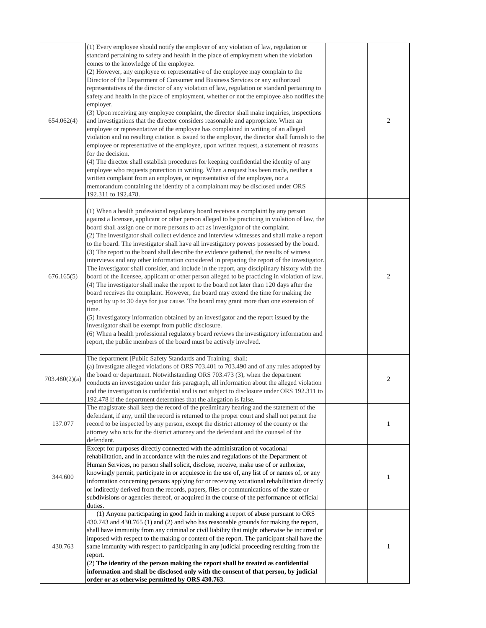| 654.062(4)    | (1) Every employee should notify the employer of any violation of law, regulation or<br>standard pertaining to safety and health in the place of employment when the violation<br>comes to the knowledge of the employee.<br>(2) However, any employee or representative of the employee may complain to the<br>Director of the Department of Consumer and Business Services or any authorized<br>representatives of the director of any violation of law, regulation or standard pertaining to<br>safety and health in the place of employment, whether or not the employee also notifies the<br>employer.<br>(3) Upon receiving any employee complaint, the director shall make inquiries, inspections<br>and investigations that the director considers reasonable and appropriate. When an<br>employee or representative of the employee has complained in writing of an alleged<br>violation and no resulting citation is issued to the employer, the director shall furnish to the<br>employee or representative of the employee, upon written request, a statement of reasons<br>for the decision.<br>(4) The director shall establish procedures for keeping confidential the identity of any<br>employee who requests protection in writing. When a request has been made, neither a<br>written complaint from an employee, or representative of the employee, nor a<br>memorandum containing the identity of a complainant may be disclosed under ORS<br>192.311 to 192.478. | $\mathbf{2}$   |
|---------------|----------------------------------------------------------------------------------------------------------------------------------------------------------------------------------------------------------------------------------------------------------------------------------------------------------------------------------------------------------------------------------------------------------------------------------------------------------------------------------------------------------------------------------------------------------------------------------------------------------------------------------------------------------------------------------------------------------------------------------------------------------------------------------------------------------------------------------------------------------------------------------------------------------------------------------------------------------------------------------------------------------------------------------------------------------------------------------------------------------------------------------------------------------------------------------------------------------------------------------------------------------------------------------------------------------------------------------------------------------------------------------------------------------------------------------------------------------------------------------------|----------------|
| 676.165(5)    | (1) When a health professional regulatory board receives a complaint by any person<br>against a licensee, applicant or other person alleged to be practicing in violation of law, the<br>board shall assign one or more persons to act as investigator of the complaint.<br>(2) The investigator shall collect evidence and interview witnesses and shall make a report<br>to the board. The investigator shall have all investigatory powers possessed by the board.<br>(3) The report to the board shall describe the evidence gathered, the results of witness<br>interviews and any other information considered in preparing the report of the investigator.<br>The investigator shall consider, and include in the report, any disciplinary history with the<br>board of the licensee, applicant or other person alleged to be practicing in violation of law.<br>(4) The investigator shall make the report to the board not later than 120 days after the<br>board receives the complaint. However, the board may extend the time for making the<br>report by up to 30 days for just cause. The board may grant more than one extension of<br>time.<br>(5) Investigatory information obtained by an investigator and the report issued by the<br>investigator shall be exempt from public disclosure.<br>(6) When a health professional regulatory board reviews the investigatory information and<br>report, the public members of the board must be actively involved.       | $\mathbf{2}$   |
| 703.480(2)(a) | The department [Public Safety Standards and Training] shall:<br>(a) Investigate alleged violations of ORS 703.401 to 703.490 and of any rules adopted by<br>the board or department. Notwithstanding ORS 703.473 (3), when the department<br>conducts an investigation under this paragraph, all information about the alleged violation<br>and the investigation is confidential and is not subject to disclosure under ORS 192.311 to<br>192.478 if the department determines that the allegation is false.                                                                                                                                                                                                                                                                                                                                                                                                                                                                                                                                                                                                                                                                                                                                                                                                                                                                                                                                                                          | $\overline{2}$ |
| 137.077       | The magistrate shall keep the record of the preliminary hearing and the statement of the<br>defendant, if any, until the record is returned to the proper court and shall not permit the<br>record to be inspected by any person, except the district attorney of the county or the<br>attorney who acts for the district attorney and the defendant and the counsel of the<br>defendant.                                                                                                                                                                                                                                                                                                                                                                                                                                                                                                                                                                                                                                                                                                                                                                                                                                                                                                                                                                                                                                                                                              |                |
| 344.600       | Except for purposes directly connected with the administration of vocational<br>rehabilitation, and in accordance with the rules and regulations of the Department of<br>Human Services, no person shall solicit, disclose, receive, make use of or authorize,<br>knowingly permit, participate in or acquiesce in the use of, any list of or names of, or any<br>information concerning persons applying for or receiving vocational rehabilitation directly<br>or indirectly derived from the records, papers, files or communications of the state or<br>subdivisions or agencies thereof, or acquired in the course of the performance of official<br>duties.                                                                                                                                                                                                                                                                                                                                                                                                                                                                                                                                                                                                                                                                                                                                                                                                                      |                |
| 430.763       | (1) Anyone participating in good faith in making a report of abuse pursuant to ORS<br>430.743 and 430.765 (1) and (2) and who has reasonable grounds for making the report,<br>shall have immunity from any criminal or civil liability that might otherwise be incurred or<br>imposed with respect to the making or content of the report. The participant shall have the<br>same immunity with respect to participating in any judicial proceeding resulting from the<br>report.<br>(2) The identity of the person making the report shall be treated as confidential<br>information and shall be disclosed only with the consent of that person, by judicial<br>order or as otherwise permitted by ORS 430.763.                                                                                                                                                                                                                                                                                                                                                                                                                                                                                                                                                                                                                                                                                                                                                                     | 1              |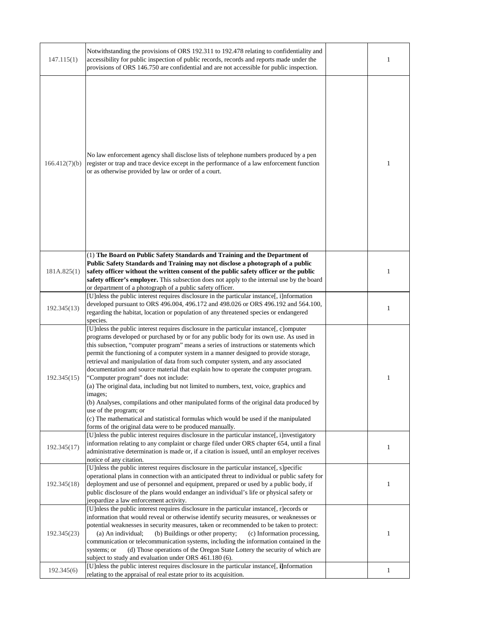| 147.115(1)    | Notwithstanding the provisions of ORS 192.311 to 192.478 relating to confidentiality and<br>accessibility for public inspection of public records, records and reports made under the<br>provisions of ORS 146.750 are confidential and are not accessible for public inspection.                                                                                                                                                                                                                                                                                                                                                                                                                                                                                                                                                                                                                                                                                   |              |
|---------------|---------------------------------------------------------------------------------------------------------------------------------------------------------------------------------------------------------------------------------------------------------------------------------------------------------------------------------------------------------------------------------------------------------------------------------------------------------------------------------------------------------------------------------------------------------------------------------------------------------------------------------------------------------------------------------------------------------------------------------------------------------------------------------------------------------------------------------------------------------------------------------------------------------------------------------------------------------------------|--------------|
| 166.412(7)(b) | No law enforcement agency shall disclose lists of telephone numbers produced by a pen<br>register or trap and trace device except in the performance of a law enforcement function<br>or as otherwise provided by law or order of a court.                                                                                                                                                                                                                                                                                                                                                                                                                                                                                                                                                                                                                                                                                                                          |              |
| 181A.825(1)   | (1) The Board on Public Safety Standards and Training and the Department of<br>Public Safety Standards and Training may not disclose a photograph of a public<br>safety officer without the written consent of the public safety officer or the public<br>safety officer's employer. This subsection does not apply to the internal use by the board<br>or department of a photograph of a public safety officer.                                                                                                                                                                                                                                                                                                                                                                                                                                                                                                                                                   |              |
| 192.345(13)   | [U]nless the public interest requires disclosure in the particular instance[, i]nformation<br>developed pursuant to ORS 496.004, 496.172 and 498.026 or ORS 496.192 and 564.100,<br>regarding the habitat, location or population of any threatened species or endangered<br>species.                                                                                                                                                                                                                                                                                                                                                                                                                                                                                                                                                                                                                                                                               |              |
| 192.345(15)   | [U]nless the public interest requires disclosure in the particular instance[, c]omputer<br>programs developed or purchased by or for any public body for its own use. As used in<br>this subsection, "computer program" means a series of instructions or statements which<br>permit the functioning of a computer system in a manner designed to provide storage,<br>retrieval and manipulation of data from such computer system, and any associated<br>documentation and source material that explain how to operate the computer program.<br>"Computer program" does not include:<br>(a) The original data, including but not limited to numbers, text, voice, graphics and<br>images;<br>(b) Analyses, compilations and other manipulated forms of the original data produced by<br>use of the program; or<br>(c) The mathematical and statistical formulas which would be used if the manipulated<br>forms of the original data were to be produced manually. | 1            |
| 192.345(17)   | [U]nless the public interest requires disclosure in the particular instance[, i]nvestigatory<br>information relating to any complaint or charge filed under ORS chapter 654, until a final<br>administrative determination is made or, if a citation is issued, until an employer receives<br>notice of any citation.                                                                                                                                                                                                                                                                                                                                                                                                                                                                                                                                                                                                                                               |              |
| 192.345(18)   | [U]nless the public interest requires disclosure in the particular instance[, s]pecific<br>operational plans in connection with an anticipated threat to individual or public safety for<br>deployment and use of personnel and equipment, prepared or used by a public body, if<br>public disclosure of the plans would endanger an individual's life or physical safety or<br>jeopardize a law enforcement activity.                                                                                                                                                                                                                                                                                                                                                                                                                                                                                                                                              |              |
| 192.345(23)   | [U]nless the public interest requires disclosure in the particular instance[, r]ecords or<br>information that would reveal or otherwise identify security measures, or weaknesses or<br>potential weaknesses in security measures, taken or recommended to be taken to protect:<br>(a) An individual; (b) Buildings or other property; (c) Information processing,<br>communication or telecommunication systems, including the information contained in the<br>(d) Those operations of the Oregon State Lottery the security of which are<br>systems; or<br>subject to study and evaluation under ORS 461.180 (6).                                                                                                                                                                                                                                                                                                                                                 | $\perp$      |
| 192.345(6)    | [U]nless the public interest requires disclosure in the particular instance[, i]nformation<br>relating to the appraisal of real estate prior to its acquisition.                                                                                                                                                                                                                                                                                                                                                                                                                                                                                                                                                                                                                                                                                                                                                                                                    | $\mathbf{1}$ |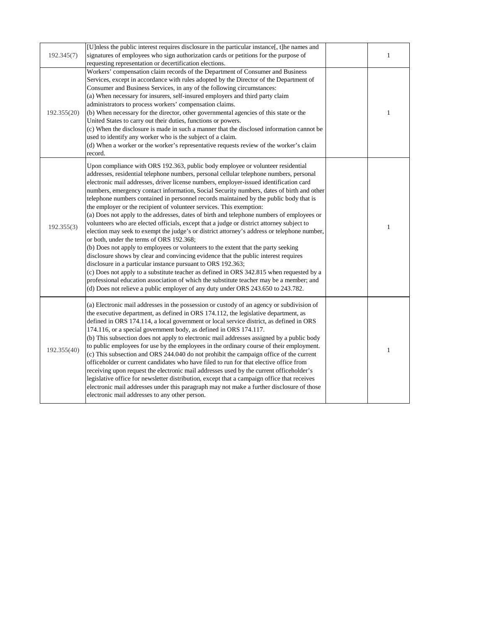| 192.345(7)  | [U]nless the public interest requires disclosure in the particular instance[, t]he names and<br>signatures of employees who sign authorization cards or petitions for the purpose of<br>requesting representation or decertification elections.                                                                                                                                                                                                                                                                                                                                                                                                                                                                                                                                                                                                                                                                                                                                                                                                                                                                                                                                                                                                                                                                                                                                                  |  |
|-------------|--------------------------------------------------------------------------------------------------------------------------------------------------------------------------------------------------------------------------------------------------------------------------------------------------------------------------------------------------------------------------------------------------------------------------------------------------------------------------------------------------------------------------------------------------------------------------------------------------------------------------------------------------------------------------------------------------------------------------------------------------------------------------------------------------------------------------------------------------------------------------------------------------------------------------------------------------------------------------------------------------------------------------------------------------------------------------------------------------------------------------------------------------------------------------------------------------------------------------------------------------------------------------------------------------------------------------------------------------------------------------------------------------|--|
| 192.355(20) | Workers' compensation claim records of the Department of Consumer and Business<br>Services, except in accordance with rules adopted by the Director of the Department of<br>Consumer and Business Services, in any of the following circumstances:<br>(a) When necessary for insurers, self-insured employers and third party claim<br>administrators to process workers' compensation claims.<br>(b) When necessary for the director, other governmental agencies of this state or the<br>United States to carry out their duties, functions or powers.<br>(c) When the disclosure is made in such a manner that the disclosed information cannot be<br>used to identify any worker who is the subject of a claim.<br>(d) When a worker or the worker's representative requests review of the worker's claim<br>record.                                                                                                                                                                                                                                                                                                                                                                                                                                                                                                                                                                         |  |
| 192.355(3)  | Upon compliance with ORS 192.363, public body employee or volunteer residential<br>addresses, residential telephone numbers, personal cellular telephone numbers, personal<br>electronic mail addresses, driver license numbers, employer-issued identification card<br>numbers, emergency contact information, Social Security numbers, dates of birth and other<br>telephone numbers contained in personnel records maintained by the public body that is<br>the employer or the recipient of volunteer services. This exemption:<br>(a) Does not apply to the addresses, dates of birth and telephone numbers of employees or<br>volunteers who are elected officials, except that a judge or district attorney subject to<br>election may seek to exempt the judge's or district attorney's address or telephone number,<br>or both, under the terms of ORS 192.368;<br>(b) Does not apply to employees or volunteers to the extent that the party seeking<br>disclosure shows by clear and convincing evidence that the public interest requires<br>disclosure in a particular instance pursuant to ORS 192.363;<br>(c) Does not apply to a substitute teacher as defined in ORS 342.815 when requested by a<br>professional education association of which the substitute teacher may be a member; and<br>(d) Does not relieve a public employer of any duty under ORS 243.650 to 243.782. |  |
| 192.355(40) | (a) Electronic mail addresses in the possession or custody of an agency or subdivision of<br>the executive department, as defined in ORS 174.112, the legislative department, as<br>defined in ORS 174.114, a local government or local service district, as defined in ORS<br>174.116, or a special government body, as defined in ORS 174.117.<br>(b) This subsection does not apply to electronic mail addresses assigned by a public body<br>to public employees for use by the employees in the ordinary course of their employment.<br>(c) This subsection and ORS 244.040 do not prohibit the campaign office of the current<br>officeholder or current candidates who have filed to run for that elective office from<br>receiving upon request the electronic mail addresses used by the current officeholder's<br>legislative office for newsletter distribution, except that a campaign office that receives<br>electronic mail addresses under this paragraph may not make a further disclosure of those<br>electronic mail addresses to any other person.                                                                                                                                                                                                                                                                                                                           |  |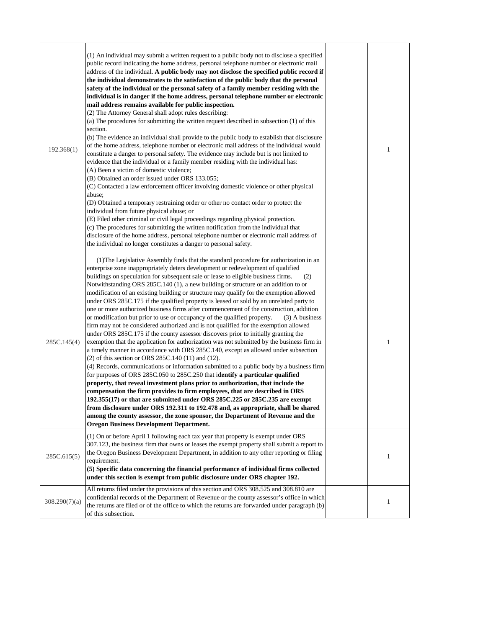| 192.368(1)    | (1) An individual may submit a written request to a public body not to disclose a specified<br>public record indicating the home address, personal telephone number or electronic mail<br>address of the individual. A public body may not disclose the specified public record if<br>the individual demonstrates to the satisfaction of the public body that the personal<br>safety of the individual or the personal safety of a family member residing with the<br>individual is in danger if the home address, personal telephone number or electronic<br>mail address remains available for public inspection.<br>(2) The Attorney General shall adopt rules describing:<br>(a) The procedures for submitting the written request described in subsection (1) of this<br>section.<br>(b) The evidence an individual shall provide to the public body to establish that disclosure<br>of the home address, telephone number or electronic mail address of the individual would<br>constitute a danger to personal safety. The evidence may include but is not limited to<br>evidence that the individual or a family member residing with the individual has:<br>(A) Been a victim of domestic violence;<br>(B) Obtained an order issued under ORS 133.055;<br>(C) Contacted a law enforcement officer involving domestic violence or other physical<br>abuse;<br>(D) Obtained a temporary restraining order or other no contact order to protect the<br>individual from future physical abuse; or<br>(E) Filed other criminal or civil legal proceedings regarding physical protection.<br>(c) The procedures for submitting the written notification from the individual that<br>disclosure of the home address, personal telephone number or electronic mail address of<br>the individual no longer constitutes a danger to personal safety. |  |
|---------------|-----------------------------------------------------------------------------------------------------------------------------------------------------------------------------------------------------------------------------------------------------------------------------------------------------------------------------------------------------------------------------------------------------------------------------------------------------------------------------------------------------------------------------------------------------------------------------------------------------------------------------------------------------------------------------------------------------------------------------------------------------------------------------------------------------------------------------------------------------------------------------------------------------------------------------------------------------------------------------------------------------------------------------------------------------------------------------------------------------------------------------------------------------------------------------------------------------------------------------------------------------------------------------------------------------------------------------------------------------------------------------------------------------------------------------------------------------------------------------------------------------------------------------------------------------------------------------------------------------------------------------------------------------------------------------------------------------------------------------------------------------------------------------------------------------------------------------------------------------|--|
| 285C.145(4)   | (1) The Legislative Assembly finds that the standard procedure for authorization in an<br>enterprise zone inappropriately deters development or redevelopment of qualified<br>buildings on speculation for subsequent sale or lease to eligible business firms.<br>(2)<br>Notwithstanding ORS 285C.140 (1), a new building or structure or an addition to or<br>modification of an existing building or structure may qualify for the exemption allowed<br>under ORS 285C.175 if the qualified property is leased or sold by an unrelated party to<br>one or more authorized business firms after commencement of the construction, addition<br>or modification but prior to use or occupancy of the qualified property.<br>$(3)$ A business<br>firm may not be considered authorized and is not qualified for the exemption allowed<br>under ORS 285C.175 if the county assessor discovers prior to initially granting the<br>exemption that the application for authorization was not submitted by the business firm in<br>a timely manner in accordance with ORS 285C.140, except as allowed under subsection<br>(2) of this section or ORS 285C.140 (11) and (12).<br>(4) Records, communications or information submitted to a public body by a business firm<br>for purposes of ORS 285C.050 to 285C.250 that identify a particular qualified<br>property, that reveal investment plans prior to authorization, that include the<br>compensation the firm provides to firm employees, that are described in ORS<br>192.355(17) or that are submitted under ORS 285C.225 or 285C.235 are exempt<br>from disclosure under ORS 192.311 to 192.478 and, as appropriate, shall be shared<br>among the county assessor, the zone sponsor, the Department of Revenue and the<br><b>Oregon Business Development Department.</b>                       |  |
| 285C.615(5)   | (1) On or before April 1 following each tax year that property is exempt under ORS<br>307.123, the business firm that owns or leases the exempt property shall submit a report to<br>the Oregon Business Development Department, in addition to any other reporting or filing<br>requirement.<br>(5) Specific data concerning the financial performance of individual firms collected<br>under this section is exempt from public disclosure under ORS chapter 192.                                                                                                                                                                                                                                                                                                                                                                                                                                                                                                                                                                                                                                                                                                                                                                                                                                                                                                                                                                                                                                                                                                                                                                                                                                                                                                                                                                                 |  |
| 308.290(7)(a) | All returns filed under the provisions of this section and ORS 308.525 and 308.810 are<br>confidential records of the Department of Revenue or the county assessor's office in which<br>the returns are filed or of the office to which the returns are forwarded under paragraph (b)<br>of this subsection.                                                                                                                                                                                                                                                                                                                                                                                                                                                                                                                                                                                                                                                                                                                                                                                                                                                                                                                                                                                                                                                                                                                                                                                                                                                                                                                                                                                                                                                                                                                                        |  |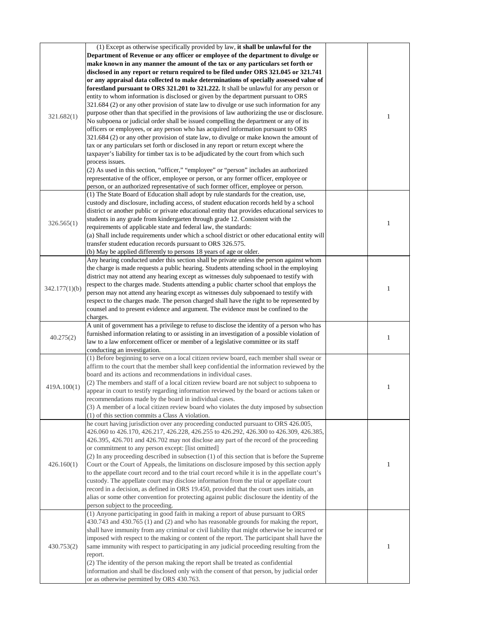| 321.682(1)    | (1) Except as otherwise specifically provided by law, it shall be unlawful for the<br>Department of Revenue or any officer or employee of the department to divulge or<br>make known in any manner the amount of the tax or any particulars set forth or<br>disclosed in any report or return required to be filed under ORS 321.045 or 321.741<br>or any appraisal data collected to make determinations of specially assessed value of<br>forestland pursuant to ORS 321.201 to 321.222. It shall be unlawful for any person or<br>entity to whom information is disclosed or given by the department pursuant to ORS<br>321.684 (2) or any other provision of state law to divulge or use such information for any<br>purpose other than that specified in the provisions of law authorizing the use or disclosure.<br>No subpoena or judicial order shall be issued compelling the department or any of its<br>officers or employees, or any person who has acquired information pursuant to ORS<br>321.684 (2) or any other provision of state law, to divulge or make known the amount of<br>tax or any particulars set forth or disclosed in any report or return except where the<br>taxpayer's liability for timber tax is to be adjudicated by the court from which such<br>process issues.<br>(2) As used in this section, "officer," "employee" or "person" includes an authorized<br>representative of the officer, employee or person, or any former officer, employee or<br>person, or an authorized representative of such former officer, employee or person. |              |
|---------------|--------------------------------------------------------------------------------------------------------------------------------------------------------------------------------------------------------------------------------------------------------------------------------------------------------------------------------------------------------------------------------------------------------------------------------------------------------------------------------------------------------------------------------------------------------------------------------------------------------------------------------------------------------------------------------------------------------------------------------------------------------------------------------------------------------------------------------------------------------------------------------------------------------------------------------------------------------------------------------------------------------------------------------------------------------------------------------------------------------------------------------------------------------------------------------------------------------------------------------------------------------------------------------------------------------------------------------------------------------------------------------------------------------------------------------------------------------------------------------------------------------------------------------------------------------------------------------|--------------|
| 326.565(1)    | (1) The State Board of Education shall adopt by rule standards for the creation, use,<br>custody and disclosure, including access, of student education records held by a school<br>district or another public or private educational entity that provides educational services to<br>students in any grade from kindergarten through grade 12. Consistent with the<br>requirements of applicable state and federal law, the standards:<br>(a) Shall include requirements under which a school district or other educational entity will<br>transfer student education records pursuant to ORS 326.575.<br>(b) May be applied differently to persons 18 years of age or older.                                                                                                                                                                                                                                                                                                                                                                                                                                                                                                                                                                                                                                                                                                                                                                                                                                                                                                 |              |
| 342.177(1)(b) | Any hearing conducted under this section shall be private unless the person against whom<br>the charge is made requests a public hearing. Students attending school in the employing<br>district may not attend any hearing except as witnesses duly subpoenaed to testify with<br>respect to the charges made. Students attending a public charter school that employs the<br>person may not attend any hearing except as witnesses duly subpoenaed to testify with<br>respect to the charges made. The person charged shall have the right to be represented by<br>counsel and to present evidence and argument. The evidence must be confined to the<br>charges.                                                                                                                                                                                                                                                                                                                                                                                                                                                                                                                                                                                                                                                                                                                                                                                                                                                                                                            |              |
| 40.275(2)     | A unit of government has a privilege to refuse to disclose the identity of a person who has<br>furnished information relating to or assisting in an investigation of a possible violation of<br>law to a law enforcement officer or member of a legislative committee or its staff<br>conducting an investigation.                                                                                                                                                                                                                                                                                                                                                                                                                                                                                                                                                                                                                                                                                                                                                                                                                                                                                                                                                                                                                                                                                                                                                                                                                                                             |              |
| 419A.100(1)   | (1) Before beginning to serve on a local citizen review board, each member shall swear or<br>affirm to the court that the member shall keep confidential the information reviewed by the<br>board and its actions and recommendations in individual cases.<br>$(2)$ The members and staff of a local citizen review board are not subject to subpoena to<br>appear in court to testify regarding information reviewed by the board or actions taken or<br>recommendations made by the board in individual cases.<br>(3) A member of a local citizen review board who violates the duty imposed by subsection<br>(1) of this section commits a Class A violation.                                                                                                                                                                                                                                                                                                                                                                                                                                                                                                                                                                                                                                                                                                                                                                                                                                                                                                               |              |
| 426.160(1)    | he court having jurisdiction over any proceeding conducted pursuant to ORS 426.005,<br>426.060 to 426.170, 426.217, 426.228, 426.255 to 426.292, 426.300 to 426.309, 426.385,<br>426.395, 426.701 and 426.702 may not disclose any part of the record of the proceeding<br>or commitment to any person except: [list omitted]<br>(2) In any proceeding described in subsection (1) of this section that is before the Supreme<br>Court or the Court of Appeals, the limitations on disclosure imposed by this section apply<br>to the appellate court record and to the trial court record while it is in the appellate court's<br>custody. The appellate court may disclose information from the trial or appellate court<br>record in a decision, as defined in ORS 19.450, provided that the court uses initials, an<br>alias or some other convention for protecting against public disclosure the identity of the<br>person subject to the proceeding.                                                                                                                                                                                                                                                                                                                                                                                                                                                                                                                                                                                                                    |              |
| 430.753(2)    | (1) Anyone participating in good faith in making a report of abuse pursuant to ORS<br>430.743 and 430.765 (1) and (2) and who has reasonable grounds for making the report,<br>shall have immunity from any criminal or civil liability that might otherwise be incurred or<br>imposed with respect to the making or content of the report. The participant shall have the<br>same immunity with respect to participating in any judicial proceeding resulting from the<br>report.<br>(2) The identity of the person making the report shall be treated as confidential<br>information and shall be disclosed only with the consent of that person, by judicial order<br>or as otherwise permitted by ORS 430.763.                                                                                                                                                                                                                                                                                                                                                                                                                                                                                                                                                                                                                                                                                                                                                                                                                                                             | $\mathbf{1}$ |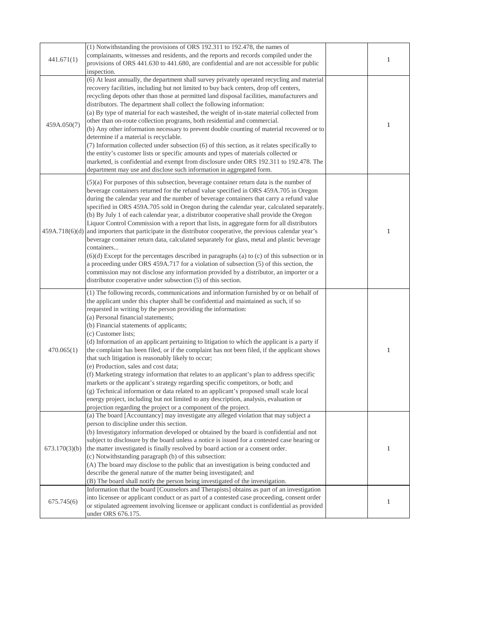| 441.671(1)    | (1) Notwithstanding the provisions of ORS 192.311 to 192.478, the names of<br>complainants, witnesses and residents, and the reports and records compiled under the<br>provisions of ORS 441.630 to 441.680, are confidential and are not accessible for public<br>inspection.                                                                                                                                                                                                                                                                                                                                                                                                                                                                                                                                                                                                                                                                                                                                                                                                                                                                             |  |
|---------------|------------------------------------------------------------------------------------------------------------------------------------------------------------------------------------------------------------------------------------------------------------------------------------------------------------------------------------------------------------------------------------------------------------------------------------------------------------------------------------------------------------------------------------------------------------------------------------------------------------------------------------------------------------------------------------------------------------------------------------------------------------------------------------------------------------------------------------------------------------------------------------------------------------------------------------------------------------------------------------------------------------------------------------------------------------------------------------------------------------------------------------------------------------|--|
| 459A.050(7)   | (6) At least annually, the department shall survey privately operated recycling and material<br>recovery facilities, including but not limited to buy back centers, drop off centers,<br>recycling depots other than those at permitted land disposal facilities, manufacturers and<br>distributors. The department shall collect the following information:<br>(a) By type of material for each wasteshed, the weight of in-state material collected from<br>other than on-route collection programs, both residential and commercial.<br>(b) Any other information necessary to prevent double counting of material recovered or to<br>determine if a material is recyclable.<br>(7) Information collected under subsection (6) of this section, as it relates specifically to<br>the entity's customer lists or specific amounts and types of materials collected or<br>marketed, is confidential and exempt from disclosure under ORS 192.311 to 192.478. The<br>department may use and disclose such information in aggregated form.                                                                                                                  |  |
|               | $(5)(a)$ For purposes of this subsection, beverage container return data is the number of<br>beverage containers returned for the refund value specified in ORS 459A.705 in Oregon<br>during the calendar year and the number of beverage containers that carry a refund value<br>specified in ORS 459A.705 sold in Oregon during the calendar year, calculated separately.<br>(b) By July 1 of each calendar year, a distributor cooperative shall provide the Oregon<br>Liquor Control Commission with a report that lists, in aggregate form for all distributors<br>$459A.718(6)(d)$ and importers that participate in the distributor cooperative, the previous calendar year's<br>beverage container return data, calculated separately for glass, metal and plastic beverage<br>containers<br>$(6)(d)$ Except for the percentages described in paragraphs (a) to (c) of this subsection or in<br>a proceeding under ORS 459A.717 for a violation of subsection (5) of this section, the<br>commission may not disclose any information provided by a distributor, an importer or a<br>distributor cooperative under subsection (5) of this section. |  |
| 470.065(1)    | (1) The following records, communications and information furnished by or on behalf of<br>the applicant under this chapter shall be confidential and maintained as such, if so<br>requested in writing by the person providing the information:<br>(a) Personal financial statements;<br>(b) Financial statements of applicants;<br>(c) Customer lists;<br>(d) Information of an applicant pertaining to litigation to which the applicant is a party if<br>the complaint has been filed, or if the complaint has not been filed, if the applicant shows<br>that such litigation is reasonably likely to occur;<br>(e) Production, sales and cost data;<br>(f) Marketing strategy information that relates to an applicant's plan to address specific<br>markets or the applicant's strategy regarding specific competitors, or both; and<br>(g) Technical information or data related to an applicant's proposed small scale local<br>energy project, including but not limited to any description, analysis, evaluation or<br>projection regarding the project or a component of the project.                                                            |  |
| 673.170(3)(b) | (a) The board [Accountancy] may investigate any alleged violation that may subject a<br>person to discipline under this section.<br>(b) Investigatory information developed or obtained by the board is confidential and not<br>subject to disclosure by the board unless a notice is issued for a contested case hearing or<br>the matter investigated is finally resolved by board action or a consent order.<br>(c) Notwithstanding paragraph (b) of this subsection:<br>(A) The board may disclose to the public that an investigation is being conducted and<br>describe the general nature of the matter being investigated; and<br>(B) The board shall notify the person being investigated of the investigation.                                                                                                                                                                                                                                                                                                                                                                                                                                   |  |
| 675.745(6)    | Information that the board [Counselors and Therapists] obtains as part of an investigation<br>into licensee or applicant conduct or as part of a contested case proceeding, consent order<br>or stipulated agreement involving licensee or applicant conduct is confidential as provided<br>under ORS 676.175.                                                                                                                                                                                                                                                                                                                                                                                                                                                                                                                                                                                                                                                                                                                                                                                                                                             |  |